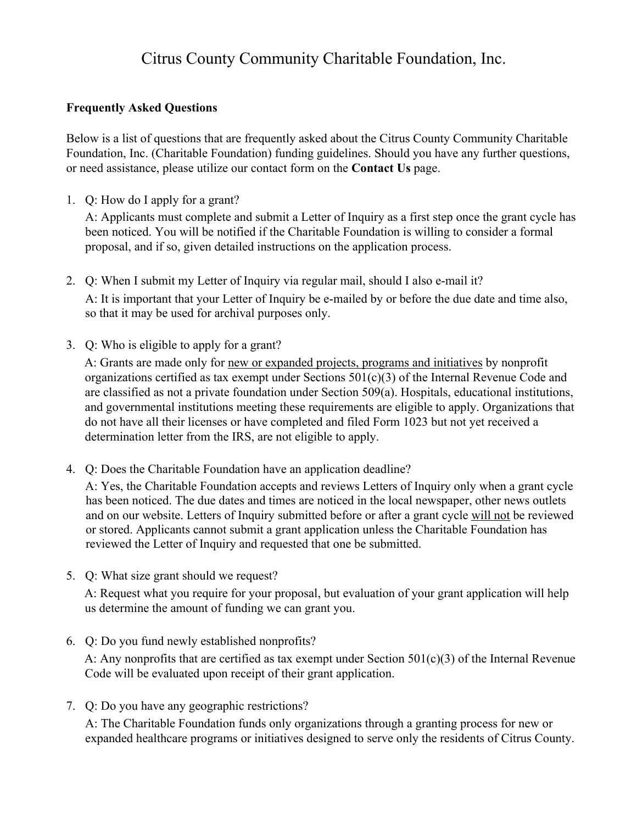## Citrus County Community Charitable Foundation, Inc.

## **Frequently Asked Questions**

Below is a list of questions that are frequently asked about the Citrus County Community Charitable Foundation, Inc. (Charitable Foundation) funding guidelines. Should you have any further questions, or need assistance, please utilize our contact form on the **Contact Us** page.

1. Q: How do I apply for a grant?

A: Applicants must complete and submit a Letter of Inquiry as a first step once the grant cycle has been noticed. You will be notified if the Charitable Foundation is willing to consider a formal proposal, and if so, given detailed instructions on the application process.

- 2. Q: When I submit my Letter of Inquiry via regular mail, should I also e-mail it? A: It is important that your Letter of Inquiry be e-mailed by or before the due date and time also, so that it may be used for archival purposes only.
- 3. Q: Who is eligible to apply for a grant?

A: Grants are made only for new or expanded projects, programs and initiatives by nonprofit organizations certified as tax exempt under Sections 501(c)(3) of the Internal Revenue Code and are classified as not a private foundation under Section 509(a). Hospitals, educational institutions, and governmental institutions meeting these requirements are eligible to apply. Organizations that do not have all their licenses or have completed and filed Form 1023 but not yet received a determination letter from the IRS, are not eligible to apply.

4. Q: Does the Charitable Foundation have an application deadline?

A: Yes, the Charitable Foundation accepts and reviews Letters of Inquiry only when a grant cycle has been noticed. The due dates and times are noticed in the local newspaper, other news outlets and on our website. Letters of Inquiry submitted before or after a grant cycle will not be reviewed or stored. Applicants cannot submit a grant application unless the Charitable Foundation has reviewed the Letter of Inquiry and requested that one be submitted.

5. Q: What size grant should we request?

A: Request what you require for your proposal, but evaluation of your grant application will help us determine the amount of funding we can grant you.

6. Q: Do you fund newly established nonprofits?

A: Any nonprofits that are certified as tax exempt under Section 501(c)(3) of the Internal Revenue Code will be evaluated upon receipt of their grant application.

7. Q: Do you have any geographic restrictions?

A: The Charitable Foundation funds only organizations through a granting process for new or expanded healthcare programs or initiatives designed to serve only the residents of Citrus County.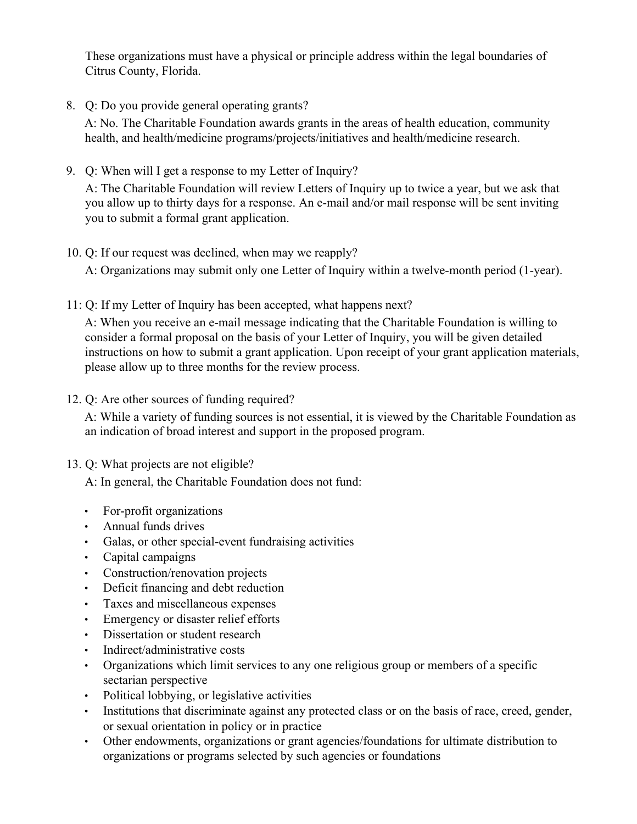These organizations must have a physical or principle address within the legal boundaries of Citrus County, Florida.

8. Q: Do you provide general operating grants?

A: No. The Charitable Foundation awards grants in the areas of health education, community health, and health/medicine programs/projects/initiatives and health/medicine research.

9. Q: When will I get a response to my Letter of Inquiry?

A: The Charitable Foundation will review Letters of Inquiry up to twice a year, but we ask that you allow up to thirty days for a response. An e-mail and/or mail response will be sent inviting you to submit a formal grant application.

10. Q: If our request was declined, when may we reapply?

A: Organizations may submit only one Letter of Inquiry within a twelve-month period (1-year).

11: Q: If my Letter of Inquiry has been accepted, what happens next?

A: When you receive an e-mail message indicating that the Charitable Foundation is willing to consider a formal proposal on the basis of your Letter of Inquiry, you will be given detailed instructions on how to submit a grant application. Upon receipt of your grant application materials, please allow up to three months for the review process.

12. Q: Are other sources of funding required?

A: While a variety of funding sources is not essential, it is viewed by the Charitable Foundation as an indication of broad interest and support in the proposed program.

13. Q: What projects are not eligible?

A: In general, the Charitable Foundation does not fund:

- For-profit organizations
- Annual funds drives
- Galas, or other special-event fundraising activities
- Capital campaigns
- Construction/renovation projects
- Deficit financing and debt reduction
- Taxes and miscellaneous expenses
- Emergency or disaster relief efforts
- Dissertation or student research
- Indirect/administrative costs
- Organizations which limit services to any one religious group or members of a specific sectarian perspective
- Political lobbying, or legislative activities
- Institutions that discriminate against any protected class or on the basis of race, creed, gender, or sexual orientation in policy or in practice
- Other endowments, organizations or grant agencies/foundations for ultimate distribution to organizations or programs selected by such agencies or foundations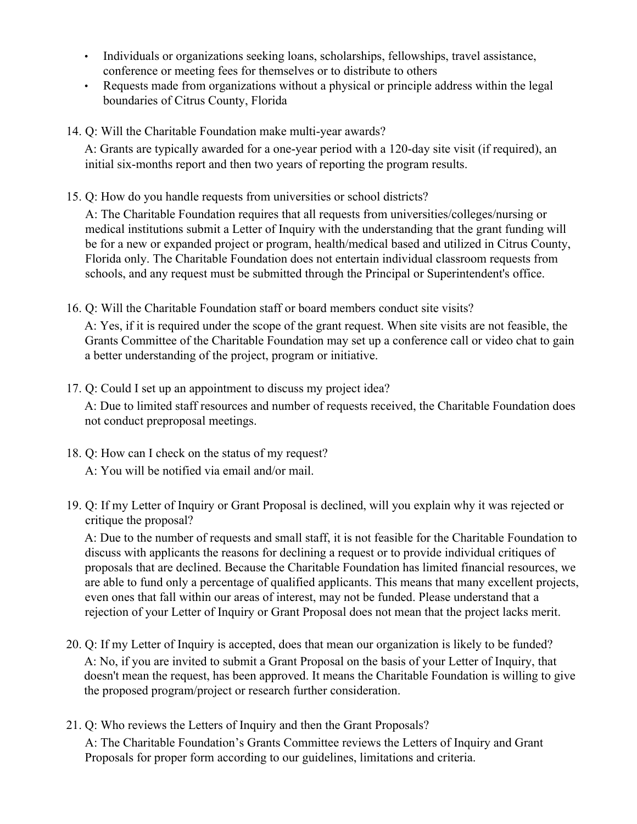- Individuals or organizations seeking loans, scholarships, fellowships, travel assistance, conference or meeting fees for themselves or to distribute to others
- Requests made from organizations without a physical or principle address within the legal boundaries of Citrus County, Florida
- 14. Q: Will the Charitable Foundation make multi-year awards?

A: Grants are typically awarded for a one-year period with a 120-day site visit (if required), an initial six-months report and then two years of reporting the program results.

15. Q: How do you handle requests from universities or school districts?

A: The Charitable Foundation requires that all requests from universities/colleges/nursing or medical institutions submit a Letter of Inquiry with the understanding that the grant funding will be for a new or expanded project or program, health/medical based and utilized in Citrus County, Florida only. The Charitable Foundation does not entertain individual classroom requests from schools, and any request must be submitted through the Principal or Superintendent's office.

16. Q: Will the Charitable Foundation staff or board members conduct site visits?

A: Yes, if it is required under the scope of the grant request. When site visits are not feasible, the Grants Committee of the Charitable Foundation may set up a conference call or video chat to gain a better understanding of the project, program or initiative.

17. Q: Could I set up an appointment to discuss my project idea?

A: Due to limited staff resources and number of requests received, the Charitable Foundation does not conduct preproposal meetings.

- 18. Q: How can I check on the status of my request? A: You will be notified via email and/or mail.
- 19. Q: If my Letter of Inquiry or Grant Proposal is declined, will you explain why it was rejected or critique the proposal?

A: Due to the number of requests and small staff, it is not feasible for the Charitable Foundation to discuss with applicants the reasons for declining a request or to provide individual critiques of proposals that are declined. Because the Charitable Foundation has limited financial resources, we are able to fund only a percentage of qualified applicants. This means that many excellent projects, even ones that fall within our areas of interest, may not be funded. Please understand that a rejection of your Letter of Inquiry or Grant Proposal does not mean that the project lacks merit.

- 20. Q: If my Letter of Inquiry is accepted, does that mean our organization is likely to be funded? A: No, if you are invited to submit a Grant Proposal on the basis of your Letter of Inquiry, that doesn't mean the request, has been approved. It means the Charitable Foundation is willing to give the proposed program/project or research further consideration.
- 21. Q: Who reviews the Letters of Inquiry and then the Grant Proposals? A: The Charitable Foundation's Grants Committee reviews the Letters of Inquiry and Grant Proposals for proper form according to our guidelines, limitations and criteria.